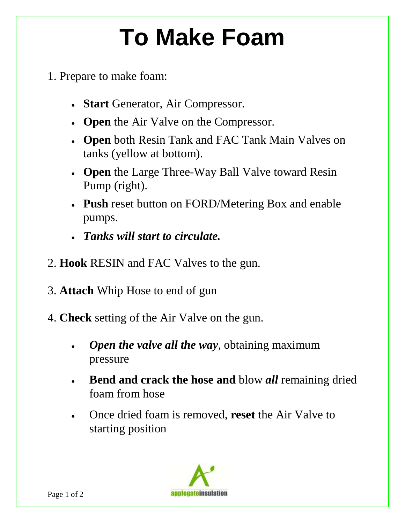## **To Make Foam**

- 1. Prepare to make foam:
	- **Start** Generator, Air Compressor.
	- **Open** the Air Valve on the Compressor.
	- **Open** both Resin Tank and FAC Tank Main Valves on tanks (yellow at bottom).
	- **Open** the Large Three-Way Ball Valve toward Resin Pump (right).
	- pumps. • **Push** reset button on FORD/Metering Box and enable
	- *Tanks will start to circulate.*
- 2. **Hook** RESIN and FAC Valves to the gun.
- 3. **Attach** Whip Hose to end of gun
- 4. **Check** setting of the Air Valve on the gun.
	- *Open the valve all the way*, obtaining maximum pressure
	- **Bend and crack the hose and** blow *all* remaining dried foam from hose
	- Once dried foam is removed, **reset** the Air Valve to starting position